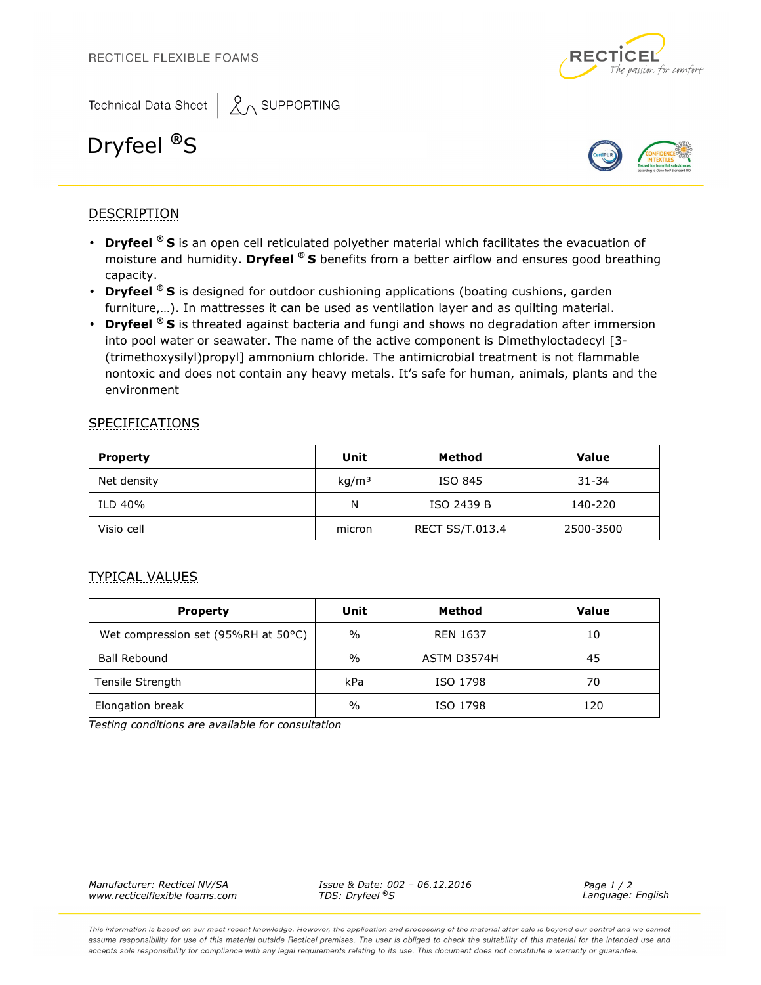



# Dryfeel **®**S



## **DESCRIPTION**

- **Dryfeel ® S** is an open cell reticulated polyether material which facilitates the evacuation of moisture and humidity. **Dryfeel ® S** benefits from a better airflow and ensures good breathing capacity.
- **Dryfeel ® S** is designed for outdoor cushioning applications (boating cushions, garden furniture,…). In mattresses it can be used as ventilation layer and as quilting material.
- **Dryfeel ® S** is threated against bacteria and fungi and shows no degradation after immersion into pool water or seawater. The name of the active component is Dimethyloctadecyl [3- (trimethoxysilyl)propyl] ammonium chloride. The antimicrobial treatment is not flammable nontoxic and does not contain any heavy metals. It's safe for human, animals, plants and the environment

### **SPECIFICATIONS**

| <b>Property</b> | Unit              | Method                 | <b>Value</b> |
|-----------------|-------------------|------------------------|--------------|
| Net density     | kg/m <sup>3</sup> | ISO 845                | $31 - 34$    |
| ILD 40%         | N                 | ISO 2439 B             | 140-220      |
| Visio cell      | micron            | <b>RECT SS/T.013.4</b> | 2500-3500    |

#### TYPICAL VALUES

| <b>Property</b>                     | Unit          | Method          | <b>Value</b> |
|-------------------------------------|---------------|-----------------|--------------|
| Wet compression set (95%RH at 50°C) | $\frac{0}{0}$ | <b>REN 1637</b> | 10           |
| <b>Ball Rebound</b>                 | $\frac{0}{0}$ | ASTM D3574H     | 45           |
| Tensile Strength                    | kPa           | ISO 1798        | 70           |
| Elongation break                    | $\frac{0}{0}$ | ISO 1798        | 120          |

*Testing conditions are available for consultation* 

*Manufacturer: Recticel NV/SA* 

*Issue & Date: 002 – 06.12.2016 TDS: Dryfeel ®S www.recticelflexible foams.com Language: English*